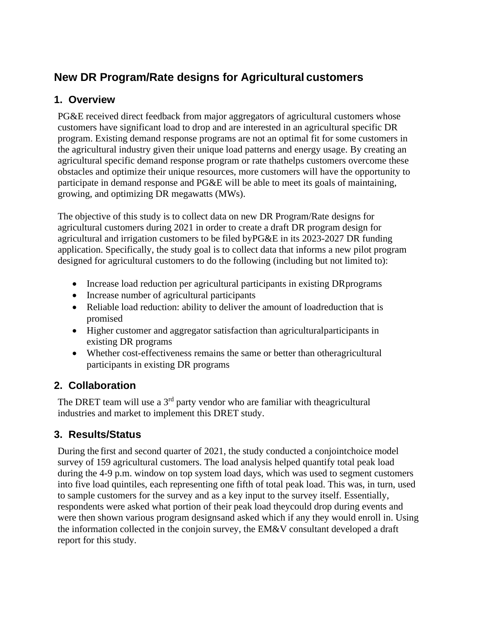# **New DR Program/Rate designs for Agricultural customers**

#### **1. Overview**

PG&E received direct feedback from major aggregators of agricultural customers whose customers have significant load to drop and are interested in an agricultural specific DR program. Existing demand response programs are not an optimal fit for some customers in the agricultural industry given their unique load patterns and energy usage. By creating an agricultural specific demand response program or rate thathelps customers overcome these obstacles and optimize their unique resources, more customers will have the opportunity to participate in demand response and PG&E will be able to meet its goals of maintaining, growing, and optimizing DR megawatts (MWs).

The objective of this study is to collect data on new DR Program/Rate designs for agricultural customers during 2021 in order to create a draft DR program design for agricultural and irrigation customers to be filed byPG&E in its 2023-2027 DR funding application. Specifically, the study goal is to collect data that informs a new pilot program designed for agricultural customers to do the following (including but not limited to):

- Increase load reduction per agricultural participants in existing DR programs
- Increase number of agricultural participants
- Reliable load reduction: ability to deliver the amount of loadreduction that is promised
- Higher customer and aggregator satisfaction than agriculturalparticipants in existing DR programs
- Whether cost-effectiveness remains the same or better than otheragricultural participants in existing DR programs

## **2. Collaboration**

The DRET team will use a  $3<sup>rd</sup>$  party vendor who are familiar with theagricultural industries and market to implement this DRET study.

## **3. Results/Status**

During the first and second quarter of 2021, the study conducted a conjointchoice model survey of 159 agricultural customers. The load analysis helped quantify total peak load during the 4-9 p.m. window on top system load days, which was used to segment customers into five load quintiles, each representing one fifth of total peak load. This was, in turn, used to sample customers for the survey and as a key input to the survey itself. Essentially, respondents were asked what portion of their peak load theycould drop during events and were then shown various program designsand asked which if any they would enroll in. Using the information collected in the conjoin survey, the EM&V consultant developed a draft report for this study.